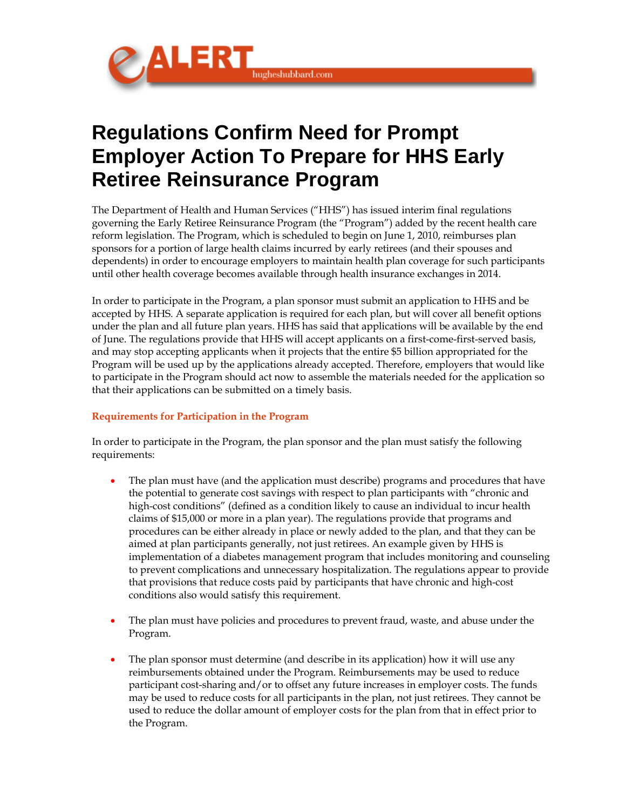

## **Regulations Confirm Need for Prompt Employer Action To Prepare for HHS Early Retiree Reinsurance Program**

The Department of Health and Human Services ("HHS") has issued interim final regulations governing the Early Retiree Reinsurance Program (the "Program") added by the recent health care reform legislation. The Program, which is scheduled to begin on June 1, 2010, reimburses plan sponsors for a portion of large health claims incurred by early retirees (and their spouses and dependents) in order to encourage employers to maintain health plan coverage for such participants until other health coverage becomes available through health insurance exchanges in 2014.

In order to participate in the Program, a plan sponsor must submit an application to HHS and be accepted by HHS. A separate application is required for each plan, but will cover all benefit options under the plan and all future plan years. HHS has said that applications will be available by the end of June. The regulations provide that HHS will accept applicants on a first-come-first-served basis, and may stop accepting applicants when it projects that the entire \$5 billion appropriated for the Program will be used up by the applications already accepted. Therefore, employers that would like to participate in the Program should act now to assemble the materials needed for the application so that their applications can be submitted on a timely basis.

## **Requirements for Participation in the Program**

In order to participate in the Program, the plan sponsor and the plan must satisfy the following requirements:

- The plan must have (and the application must describe) programs and procedures that have the potential to generate cost savings with respect to plan participants with "chronic and high-cost conditions" (defined as a condition likely to cause an individual to incur health claims of \$15,000 or more in a plan year). The regulations provide that programs and procedures can be either already in place or newly added to the plan, and that they can be aimed at plan participants generally, not just retirees. An example given by HHS is implementation of a diabetes management program that includes monitoring and counseling to prevent complications and unnecessary hospitalization. The regulations appear to provide that provisions that reduce costs paid by participants that have chronic and high-cost conditions also would satisfy this requirement.
- The plan must have policies and procedures to prevent fraud, waste, and abuse under the Program.
- The plan sponsor must determine (and describe in its application) how it will use any reimbursements obtained under the Program. Reimbursements may be used to reduce participant cost-sharing and/or to offset any future increases in employer costs. The funds may be used to reduce costs for all participants in the plan, not just retirees. They cannot be used to reduce the dollar amount of employer costs for the plan from that in effect prior to the Program.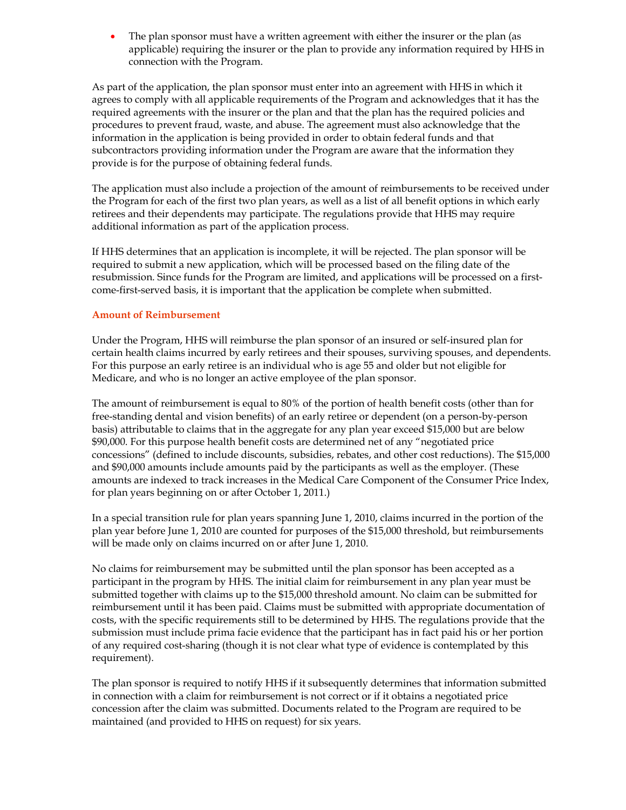The plan sponsor must have a written agreement with either the insurer or the plan (as applicable) requiring the insurer or the plan to provide any information required by HHS in connection with the Program.

As part of the application, the plan sponsor must enter into an agreement with HHS in which it agrees to comply with all applicable requirements of the Program and acknowledges that it has the required agreements with the insurer or the plan and that the plan has the required policies and procedures to prevent fraud, waste, and abuse. The agreement must also acknowledge that the information in the application is being provided in order to obtain federal funds and that subcontractors providing information under the Program are aware that the information they provide is for the purpose of obtaining federal funds.

The application must also include a projection of the amount of reimbursements to be received under the Program for each of the first two plan years, as well as a list of all benefit options in which early retirees and their dependents may participate. The regulations provide that HHS may require additional information as part of the application process.

If HHS determines that an application is incomplete, it will be rejected. The plan sponsor will be required to submit a new application, which will be processed based on the filing date of the resubmission. Since funds for the Program are limited, and applications will be processed on a firstcome-first-served basis, it is important that the application be complete when submitted.

## **Amount of Reimbursement**

Under the Program, HHS will reimburse the plan sponsor of an insured or self-insured plan for certain health claims incurred by early retirees and their spouses, surviving spouses, and dependents. For this purpose an early retiree is an individual who is age 55 and older but not eligible for Medicare, and who is no longer an active employee of the plan sponsor.

The amount of reimbursement is equal to 80% of the portion of health benefit costs (other than for free-standing dental and vision benefits) of an early retiree or dependent (on a person-by-person basis) attributable to claims that in the aggregate for any plan year exceed \$15,000 but are below \$90,000. For this purpose health benefit costs are determined net of any "negotiated price concessions" (defined to include discounts, subsidies, rebates, and other cost reductions). The \$15,000 and \$90,000 amounts include amounts paid by the participants as well as the employer. (These amounts are indexed to track increases in the Medical Care Component of the Consumer Price Index, for plan years beginning on or after October 1, 2011.)

In a special transition rule for plan years spanning June 1, 2010, claims incurred in the portion of the plan year before June 1, 2010 are counted for purposes of the \$15,000 threshold, but reimbursements will be made only on claims incurred on or after June 1, 2010.

No claims for reimbursement may be submitted until the plan sponsor has been accepted as a participant in the program by HHS. The initial claim for reimbursement in any plan year must be submitted together with claims up to the \$15,000 threshold amount. No claim can be submitted for reimbursement until it has been paid. Claims must be submitted with appropriate documentation of costs, with the specific requirements still to be determined by HHS. The regulations provide that the submission must include prima facie evidence that the participant has in fact paid his or her portion of any required cost-sharing (though it is not clear what type of evidence is contemplated by this requirement).

The plan sponsor is required to notify HHS if it subsequently determines that information submitted in connection with a claim for reimbursement is not correct or if it obtains a negotiated price concession after the claim was submitted. Documents related to the Program are required to be maintained (and provided to HHS on request) for six years.